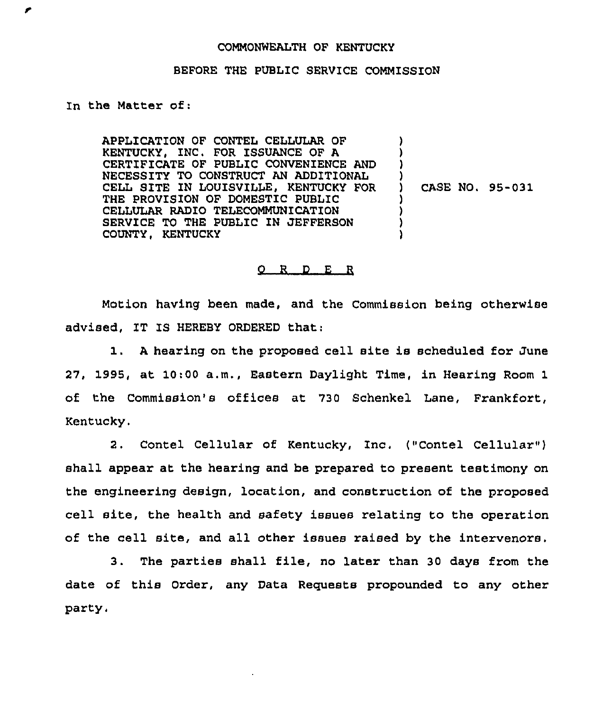## COMMONWEALTH OF KENTUCKY

## BEFORE THE PUBLIC SERVICE COMMISSION

## In the Matter of:

APPLICATION OF CONTEL CELLULAR OF KENTUCKY, INC. FOR ISSUANCE OF A CERTIFICATE OF PUBLIC CONVENIENCE AND NECESSITY TO CONSTRUCT AN ADDITIONAL CELL SITE IN LOUISVILLE, KENTUCKY FOR THE PROVISION OF DOMESTIC PUBLIC CELLULAR RADIO TELECOMMUNICATION SERVICE TO THE PUBLIC IN JEFFERSON COUNTY, KENTUCKY ) ) ) ) ) ) ) )

) CASE NO. 95-031

## O R D E R

Motion having been made, and the Commission being otherwise advised, IT IS HEREBY ORDERED that:

1. <sup>A</sup> hearing on the proposed cell site is scheduled for June 27, 1995, at 10:00 a.m,, Eastern Daylight Time, in Hearing Room 1 of the Commission's offices at 730 Schenkel Lane, Frankfort, Kentucky.

2. Contel Cellular of Kentucky, Inc. ("Contel Cellular") shall appear at the hearing and be prepared to present testimony on the engineering design, location, and construction of the proposed cell site, the health and safety issues relating to the operation of the cell site, and all other issues raised by the intervenors.

3. The parties shall file, no later than <sup>30</sup> days from the date of this Order, any Data Requests propounded to any other party.